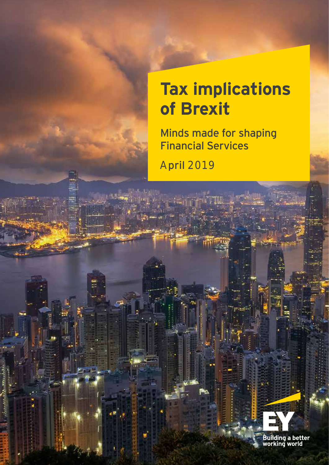# **Tax implications of Brexit**

Minds made for shaping Financial Services

April 2019

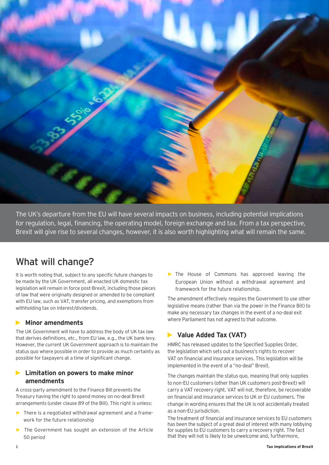

The UK's departure from the EU will have several impacts on business, including potential implications for regulation, legal, financing, the operating model, foreign exchange and tax. From a tax perspective, Brexit will give rise to several changes, however, it is also worth highlighting what will remain the same.

# What will change?

It is worth noting that, subject to any specific future changes to be made by the UK Government, all enacted UK domestic tax legislation will remain in force post-Brexit, including those pieces of law that were originally designed or amended to be compliant with EU law, such as VAT, transfer pricing, and exemptions from withholding tax on interest/dividends.

#### ► **Minor amendments**

The UK Government will have to address the body of UK tax law that derives definitions, etc., from EU law, e.g., the UK bank levy. However, the current UK Government approach is to maintain the status quo where possible in order to provide as much certainty as possible for taxpayers at a time of significant change.

#### ► **Limitation on powers to make minor amendments**

A cross-party amendment to the Finance Bill prevents the Treasury having the right to spend money on no-deal Brexit arrangements (under clause 89 of the Bill). This right is unless:

- **►** There is a negotiated withdrawal agreement and a framework for the future relationship
- The Government has sought an extension of the Article 50 period

**►** The House of Commons has approved leaving the European Union without a withdrawal agreement and framework for the future relationship.

The amendment effectively requires the Government to use other legislative means (rather than via the power in the Finance Bill) to make any necessary tax changes in the event of a no-deal exit where Parliament has not agreed to that outcome.

### ► **Value Added Tax (VAT)**

HMRC has released updates to the Specified Supplies Order, the legislation which sets out a business's rights to recover VAT on financial and insurance services. This legislation will be implemented in the event of a "no-deal" Brexit.

The changes maintain the status quo, meaning that only supplies to non-EU customers (other than UK customers post-Brexit) will carry a VAT recovery right. VAT will not, therefore, be recoverable on financial and insurance services to UK or EU customers. The change in wording ensures that the UK is not accidentally treated as a non-EU jurisdiction.

The treatment of financial and insurance services to EU customers has been the subject of a great deal of interest with many lobbying for supplies to EU customers to carry a recovery right. The fact that they will not is likely to be unwelcome and, furthermore,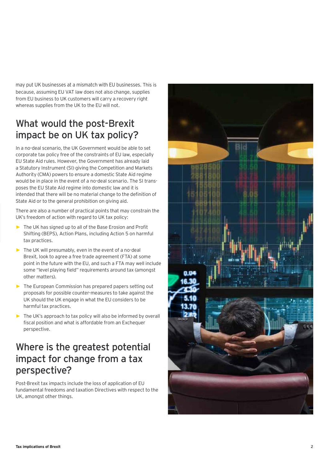may put UK businesses at a mismatch with EU businesses. This is because, assuming EU VAT law does not also change, supplies from EU business to UK customers will carry a recovery right whereas supplies from the UK to the EU will not.

# What would the post-Brexit impact be on UK tax policy?

In a no-deal scenario, the UK Government would be able to set corporate tax policy free of the constraints of EU law, especially EU State Aid rules. However, the Government has already laid a Statutory Instrument (SI) giving the Competition and Markets Authority (CMA) powers to ensure a domestic State Aid regime would be in place in the event of a no-deal scenario. The SI transposes the EU State Aid regime into domestic law and it is intended that there will be no material change to the definition of State Aid or to the general prohibition on giving aid.

There are also a number of practical points that may constrain the UK's freedom of action with regard to UK tax policy:

- **►** The UK has signed up to all of the Base Erosion and Profit Shifting (BEPS), Action Plans, including Action 5 on harmful tax practices.
- **►** The UK will presumably, even in the event of a no-deal Brexit, look to agree a free trade agreement (FTA) at some point in the future with the EU, and such a FTA may well include some "level playing field" requirements around tax (amongst other matters).
- **►** The European Commission has prepared papers setting out proposals for possible counter-measures to take against the UK should the UK engage in what the EU considers to be harmful tax practices.
- The UK's approach to tax policy will also be informed by overall fiscal position and what is affordable from an Exchequer perspective.

# Where is the greatest potential impact for change from a tax perspective?

Post-Brexit tax impacts include the loss of application of EU fundamental freedoms and taxation Directives with respect to the UK, amongst other things.

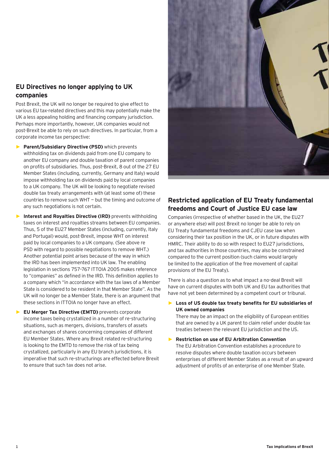### **EU Directives no longer applying to UK companies**

Post Brexit, the UK will no longer be required to give effect to various EU tax-related directives and this may potentially make the UK a less appealing holding and financing company jurisdiction. Perhaps more importantly, however, UK companies would not post-Brexit be able to rely on such directives. In particular, from a corporate income tax perspective:

- **► Parent/Subsidiary Directive (PSD)** which prevents withholding tax on dividends paid from one EU company to another EU company and double taxation of parent companies on profits of subsidiaries. Thus, post-Brexit, 8 out of the 27 EU Member States (including, currently, Germany and Italy) would impose withholding tax on dividends paid by local companies to a UK company. The UK will be looking to negotiate revised double tax treaty arrangements with (at least some of) these countries to remove such WHT — but the timing and outcome of any such negotiations is not certain.
- **Interest and Royalties Directive (IRD)** prevents withholding taxes on interest and royalties streams between EU companies. Thus, 5 of the EU27 Member States (including, currently, Italy and Portugal) would, post-Brexit, impose WHT on interest paid by local companies to a UK company. (See above re PSD with regard to possible negotiations to remove WHT.) Another potential point arises because of the way in which the IRD has been implemented into UK law. The enabling legislation in sections 757–767 ITTOIA 2005 makes reference to "companies" as defined in the IRD. This definition applies to a company which "in accordance with the tax laws of a Member State is considered to be resident in that Member State". As the UK will no longer be a Member State, there is an argument that these sections in ITTOIA no longer have an effect.
- **► EU Merger Tax Directive (EMTD)** prevents corporate income taxes being crystallized in a number of re-structuring situations, such as mergers, divisions, transfers of assets and exchanges of shares concerning companies of different EU Member States. Where any Brexit related re-structuring is looking to the EMTD to remove the risk of tax being crystallized, particularly in any EU branch jurisdictions, it is imperative that such re-structurings are effected before Brexit to ensure that such tax does not arise.



### **Restricted application of EU Treaty fundamental freedoms and Court of Justice EU case law**

Companies (irrespective of whether based in the UK, the EU27 or anywhere else) will post Brexit no longer be able to rely on EU Treaty fundamental freedoms and CJEU case law when considering their tax position in the UK, or in future disputes with HMRC. Their ability to do so with respect to EU27 jurisdictions, and tax authorities in those countries, may also be constrained compared to the current position (such claims would largely be limited to the application of the free movement of capital provisions of the EU Treaty).

There is also a question as to what impact a no-deal Brexit will have on current disputes with both UK and EU tax authorities that have not yet been determined by a competent court or tribunal.

**► Loss of US double tax treaty benefits for EU subsidiaries of UK owned companies**

There may be an impact on the eligibility of European entities that are owned by a UK parent to claim relief under double tax treaties between the relevant EU jurisdiction and the US.

**► Restriction on use of EU Arbitration Convention** The EU Arbitration Convention establishes a procedure to resolve disputes where double taxation occurs between enterprises of different Member States as a result of an upward adjustment of profits of an enterprise of one Member State.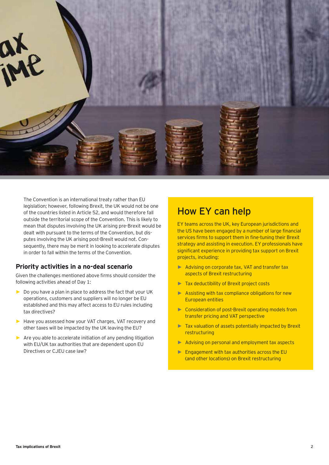

The Convention is an international treaty rather than EU legislation; however, following Brexit, the UK would not be one of the countries listed in Article 52, and would therefore fall outside the territorial scope of the Convention. This is likely to mean that disputes involving the UK arising pre-Brexit would be dealt with pursuant to the terms of the Convention, but disputes involving the UK arising post-Brexit would not. Consequently, there may be merit in looking to accelerate disputes in order to fall within the terms of the Convention.

#### **Priority activities in a no-deal scenario**

Given the challenges mentioned above firms should consider the following activities ahead of Day 1:

- **►** Do you have a plan in place to address the fact that your UK operations, customers and suppliers will no longer be EU established and this may affect access to EU rules including tax directives?
- **►** Have you assessed how your VAT charges, VAT recovery and other taxes will be impacted by the UK leaving the EU?
- **►** Are you able to accelerate initiation of any pending litigation with EU/UK tax authorities that are dependent upon EU Directives or CJEU case law?

### How EY can help

EY teams across the UK, key European jurisdictions and the US have been engaged by a number of large financial services firms to support them in fine-tuning their Brexit strategy and assisting in execution. EY professionals have significant experience in providing tax support on Brexit projects, including:

- **►** Advising on corporate tax, VAT and transfer tax aspects of Brexit restructuring
- **►** Tax deductibility of Brexit project costs
- **►** Assisting with tax compliance obligations for new European entities
- **►** Consideration of post-Brexit operating models from transfer pricing and VAT perspective
- **►** Tax valuation of assets potentially impacted by Brexit restructuring
- **►** Advising on personal and employment tax aspects
- **►** Engagement with tax authorities across the EU (and other locations) on Brexit restructuring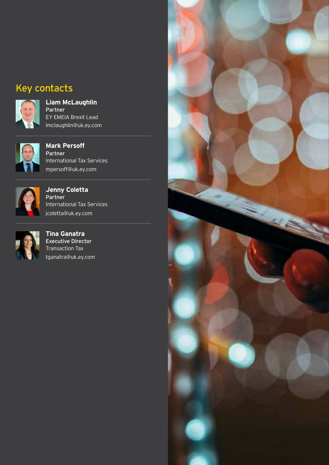# Key contacts



**Liam McLaughlin**  Partner EY EMEIA Brexit Lead lmclaughlin@uk.ey.com



**Mark Persoff** Partner International Tax Services mpersoff@uk.ey.com



**Jenny Coletta** Partner International Tax Services jcoletta@uk.ey.com



**Tina Ganatra** Executive Director Transaction Tax tganatra@uk.ey.com

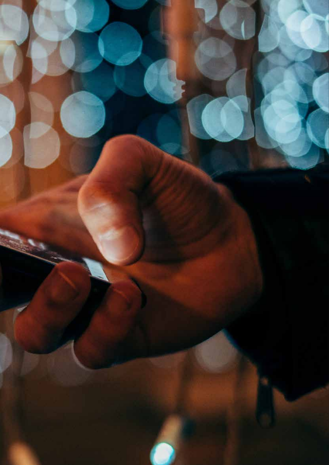